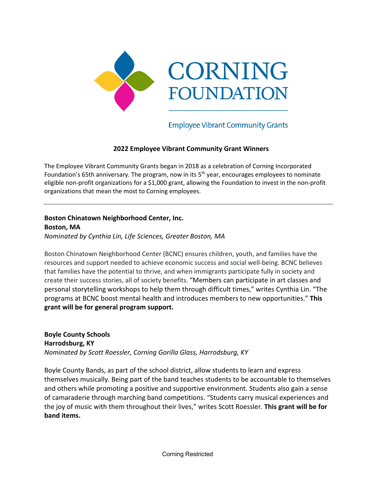

**Employee Vibrant Community Grants** 

### **2022 Employee Vibrant Community Grant Winners**

The Employee Vibrant Community Grants began in 2018 as a celebration of Corning Incorporated Foundation's 65th anniversary. The program, now in its 5<sup>th</sup> year, encourages employees to nominate eligible non-profit organizations for a \$1,000 grant, allowing the Foundation to invest in the non-profit organizations that mean the most to Corning employees.

**Boston Chinatown Neighborhood Center, Inc. Boston, MA** *Nominated by Cynthia Lin, Life Sciences, Greater Boston, MA*

Boston Chinatown Neighborhood Center (BCNC) ensures children, youth, and families have the resources and support needed to achieve economic success and social well-being. BCNC believes that families have the potential to thrive, and when immigrants participate fully in society and create their success stories, all of society benefits. "Members can participate in art classes and personal storytelling workshops to help them through difficult times," writes Cynthia Lin. "The programs at BCNC boost mental health and introduces members to new opportunities." **This grant will be for general program support.**

**Boyle County Schools Harrodsburg, KY** *Nominated by Scott Roessler, Corning Gorilla Glass, Harrodsburg, KY* 

Boyle County Bands, as part of the school district, allow students to learn and express themselves musically. Being part of the band teaches students to be accountable to themselves and others while promoting a positive and supportive environment. Students also gain a sense of camaraderie through marching band competitions. "Students carry musical experiences and the joy of music with them throughout their lives," writes Scott Roessler. **This grant will be for band items.**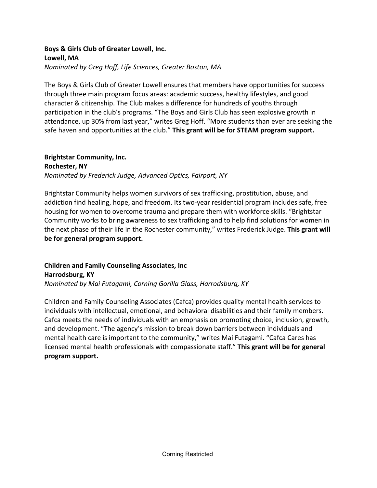### **Boys & Girls Club of Greater Lowell, Inc. Lowell, MA** *Nominated by Greg Hoff, Life Sciences, Greater Boston, MA*

The Boys & Girls Club of Greater Lowell ensures that members have opportunities for success through three main program focus areas: academic success, healthy lifestyles, and good character & citizenship. The Club makes a difference for hundreds of youths through participation in the club's programs. "The Boys and Girls Club has seen explosive growth in attendance, up 30% from last year," writes Greg Hoff. "More students than ever are seeking the safe haven and opportunities at the club." **This grant will be for STEAM program support.**

# **Brightstar Community, Inc.**

**Rochester, NY** *Nominated by Frederick Judge, Advanced Optics, Fairport, NY*

Brightstar Community helps women survivors of sex trafficking, prostitution, abuse, and addiction find healing, hope, and freedom. Its two-year residential program includes safe, free housing for women to overcome trauma and prepare them with workforce skills. "Brightstar Community works to bring awareness to sex trafficking and to help find solutions for women in the next phase of their life in the Rochester community," writes Frederick Judge. **This grant will be for general program support.**

**Children and Family Counseling Associates, Inc Harrodsburg, KY** *Nominated by Mai Futagami, Corning Gorilla Glass, Harrodsburg, KY*

Children and Family Counseling Associates (Cafca) provides quality mental health services to individuals with intellectual, emotional, and behavioral disabilities and their family members. Cafca meets the needs of individuals with an emphasis on promoting choice, inclusion, growth, and development. "The agency's mission to break down barriers between individuals and mental health care is important to the community," writes Mai Futagami. "Cafca Cares has licensed mental health professionals with compassionate staff." **This grant will be for general program support.**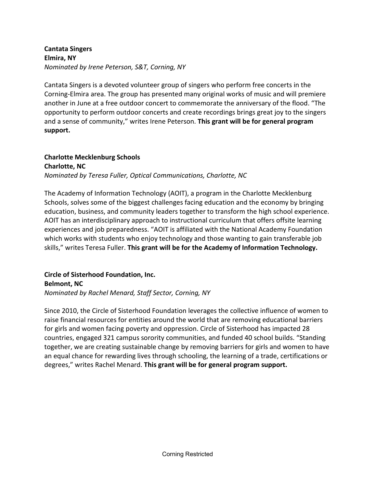### **Cantata Singers Elmira, NY** *Nominated by Irene Peterson, S&T, Corning, NY*

Cantata Singers is a devoted volunteer group of singers who perform free concerts in the Corning-Elmira area. The group has presented many original works of music and will premiere another in June at a free outdoor concert to commemorate the anniversary of the flood. "The opportunity to perform outdoor concerts and create recordings brings great joy to the singers and a sense of community," writes Irene Peterson. **This grant will be for general program support.**

#### **Charlotte Mecklenburg Schools Charlotte, NC**

*Nominated by Teresa Fuller, Optical Communications, Charlotte, NC*

The Academy of Information Technology (AOIT), a program in the Charlotte Mecklenburg Schools, solves some of the biggest challenges facing education and the economy by bringing education, business, and community leaders together to transform the high school experience. AOIT has an interdisciplinary approach to instructional curriculum that offers offsite learning experiences and job preparedness. "AOIT is affiliated with the National Academy Foundation which works with students who enjoy technology and those wanting to gain transferable job skills," writes Teresa Fuller. **This grant will be for the Academy of Information Technology.**

**Circle of Sisterhood Foundation, Inc. Belmont, NC** *Nominated by Rachel Menard, Staff Sector, Corning, NY*

Since 2010, the Circle of Sisterhood Foundation leverages the collective influence of women to raise financial resources for entities around the world that are removing educational barriers for girls and women facing poverty and oppression. Circle of Sisterhood has impacted 28 countries, engaged 321 campus sorority communities, and funded 40 school builds. "Standing together, we are creating sustainable change by removing barriers for girls and women to have an equal chance for rewarding lives through schooling, the learning of a trade, certifications or degrees," writes Rachel Menard. **This grant will be for general program support.**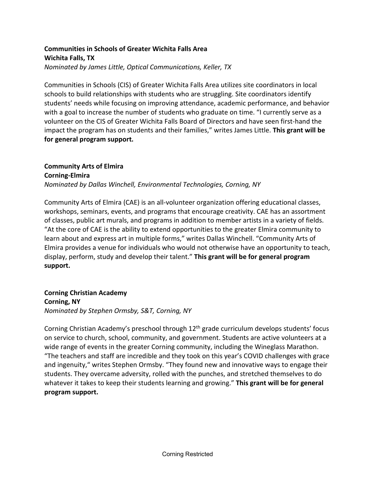# **Communities in Schools of Greater Wichita Falls Area Wichita Falls, TX**

*Nominated by James Little, Optical Communications, Keller, TX*

Communities in Schools (CIS) of Greater Wichita Falls Area utilizes site coordinators in local schools to build relationships with students who are struggling. Site coordinators identify students' needs while focusing on improving attendance, academic performance, and behavior with a goal to increase the number of students who graduate on time. "I currently serve as a volunteer on the CIS of Greater Wichita Falls Board of Directors and have seen first-hand the impact the program has on students and their families," writes James Little. **This grant will be for general program support.**

## **Community Arts of Elmira Corning-Elmira** *Nominated by Dallas Winchell, Environmental Technologies, Corning, NY*

Community Arts of Elmira (CAE) is an all-volunteer organization offering educational classes, workshops, seminars, events, and programs that encourage creativity. CAE has an assortment of classes, public art murals, and programs in addition to member artists in a variety of fields. "At the core of CAE is the ability to extend opportunities to the greater Elmira community to learn about and express art in multiple forms," writes Dallas Winchell. "Community Arts of Elmira provides a venue for individuals who would not otherwise have an opportunity to teach, display, perform, study and develop their talent." **This grant will be for general program support.**

**Corning Christian Academy Corning, NY** *Nominated by Stephen Ormsby, S&T, Corning, NY*

Corning Christian Academy's preschool through 12<sup>th</sup> grade curriculum develops students' focus on service to church, school, community, and government. Students are active volunteers at a wide range of events in the greater Corning community, including the Wineglass Marathon. "The teachers and staff are incredible and they took on this year's COVID challenges with grace and ingenuity," writes Stephen Ormsby. "They found new and innovative ways to engage their students. They overcame adversity, rolled with the punches, and stretched themselves to do whatever it takes to keep their students learning and growing." **This grant will be for general program support.**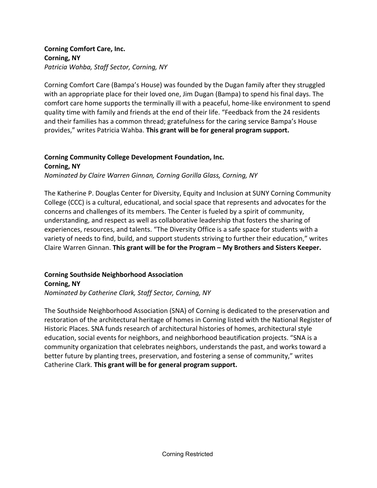### **Corning Comfort Care, Inc. Corning, NY** *Patricia Wahba, Staff Sector, Corning, NY*

Corning Comfort Care (Bampa's House) was founded by the Dugan family after they struggled with an appropriate place for their loved one, Jim Dugan (Bampa) to spend his final days. The comfort care home supports the terminally ill with a peaceful, home-like environment to spend quality time with family and friends at the end of their life. "Feedback from the 24 residents and their families has a common thread; gratefulness for the caring service Bampa's House provides," writes Patricia Wahba. **This grant will be for general program support.**

#### **Corning Community College Development Foundation, Inc. Corning, NY**

*Nominated by Claire Warren Ginnan, Corning Gorilla Glass, Corning, NY* 

The Katherine P. Douglas Center for Diversity, Equity and Inclusion at SUNY Corning Community College (CCC) is a cultural, educational, and social space that represents and advocates for the concerns and challenges of its members. The Center is fueled by a spirit of community, understanding, and respect as well as collaborative leadership that fosters the sharing of experiences, resources, and talents. "The Diversity Office is a safe space for students with a variety of needs to find, build, and support students striving to further their education," writes Claire Warren Ginnan. **This grant will be for the Program – My Brothers and Sisters Keeper.**

#### **Corning Southside Neighborhood Association Corning, NY**

*Nominated by Catherine Clark, Staff Sector, Corning, NY*

The Southside Neighborhood Association (SNA) of Corning is dedicated to the preservation and restoration of the architectural heritage of homes in Corning listed with the National Register of Historic Places. SNA funds research of architectural histories of homes, architectural style education, social events for neighbors, and neighborhood beautification projects. "SNA is a community organization that celebrates neighbors, understands the past, and works toward a better future by planting trees, preservation, and fostering a sense of community," writes Catherine Clark. **This grant will be for general program support.**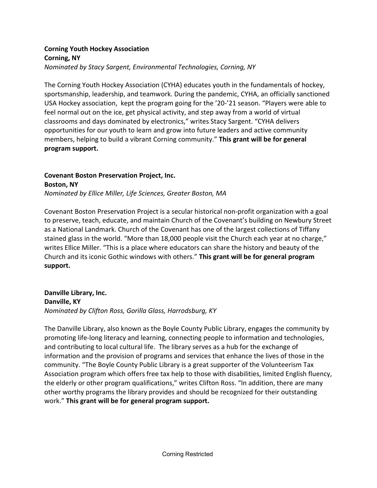### **Corning Youth Hockey Association Corning, NY** *Nominated by Stacy Sargent, Environmental Technologies, Corning, NY*

The Corning Youth Hockey Association (CYHA) educates youth in the fundamentals of hockey, sportsmanship, leadership, and teamwork. During the pandemic, CYHA, an officially sanctioned USA Hockey association, kept the program going for the '20-'21 season. "Players were able to feel normal out on the ice, get physical activity, and step away from a world of virtual classrooms and days dominated by electronics," writes Stacy Sargent. "CYHA delivers opportunities for our youth to learn and grow into future leaders and active community members, helping to build a vibrant Corning community." **This grant will be for general program support.**

### **Covenant Boston Preservation Project, Inc. Boston, NY** *Nominated by Ellice Miller, Life Sciences, Greater Boston, MA*

Covenant Boston Preservation Project is a secular historical non-profit organization with a goal to preserve, teach, educate, and maintain Church of the Covenant's building on Newbury Street as a National Landmark. Church of the Covenant has one of the largest collections of Tiffany stained glass in the world. "More than 18,000 people visit the Church each year at no charge," writes Ellice Miller. "This is a place where educators can share the history and beauty of the Church and its iconic Gothic windows with others." **This grant will be for general program support.**

### **Danville Library, Inc. Danville, KY** *Nominated by Clifton Ross, Gorilla Glass, Harrodsburg, KY*

The Danville Library, also known as the Boyle County Public Library, engages the community by promoting life-long literacy and learning, connecting people to information and technologies, and contributing to local cultural life. The library serves as a hub for the exchange of information and the provision of programs and services that enhance the lives of those in the community. "The Boyle County Public Library is a great supporter of the Volunteerism Tax Association program which offers free tax help to those with disabilities, limited English fluency, the elderly or other program qualifications," writes Clifton Ross. "In addition, there are many other worthy programs the library provides and should be recognized for their outstanding work." **This grant will be for general program support.**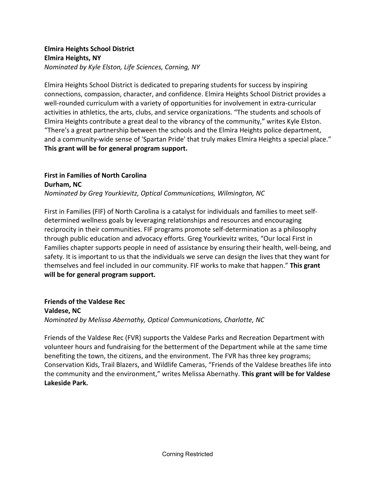### **Elmira Heights School District Elmira Heights, NY** *Nominated by Kyle Elston, Life Sciences, Corning, NY*

Elmira Heights School District is dedicated to preparing students for success by inspiring connections, compassion, character, and confidence. Elmira Heights School District provides a well-rounded curriculum with a variety of opportunities for involvement in extra-curricular activities in athletics, the arts, clubs, and service organizations. "The students and schools of Elmira Heights contribute a great deal to the vibrancy of the community," writes Kyle Elston. "There's a great partnership between the schools and the Elmira Heights police department, and a community-wide sense of 'Spartan Pride' that truly makes Elmira Heights a special place." **This grant will be for general program support.**

# **First in Families of North Carolina Durham, NC** *Nominated by Greg Yourkievitz, Optical Communications, Wilmington, NC*

First in Families (FIF) of North Carolina is a catalyst for individuals and families to meet selfdetermined wellness goals by leveraging relationships and resources and encouraging reciprocity in their communities. FIF programs promote self-determination as a philosophy through public education and advocacy efforts. Greg Yourkievitz writes, "Our local First in Families chapter supports people in need of assistance by ensuring their health, well-being, and safety. It is important to us that the individuals we serve can design the lives that they want for themselves and feel included in our community. FIF works to make that happen." **This grant will be for general program support.**

**Friends of the Valdese Rec Valdese, NC** *Nominated by Melissa Abernathy, Optical Communications, Charlotte, NC*

Friends of the Valdese Rec (FVR) supports the Valdese Parks and Recreation Department with volunteer hours and fundraising for the betterment of the Department while at the same time benefiting the town, the citizens, and the environment. The FVR has three key programs; Conservation Kids, Trail Blazers, and Wildlife Cameras, "Friends of the Valdese breathes life into the community and the environment," writes Melissa Abernathy. **This grant will be for Valdese Lakeside Park.**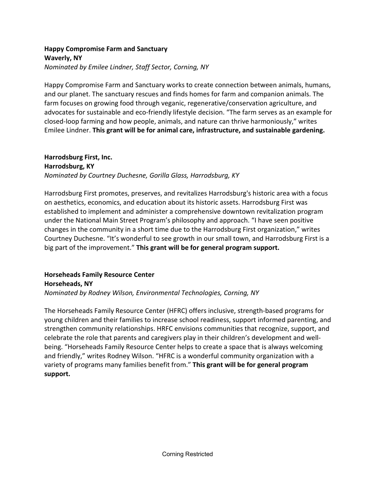### **Happy Compromise Farm and Sanctuary Waverly, NY** *Nominated by Emilee Lindner, Staff Sector, Corning, NY*

Happy Compromise Farm and Sanctuary works to create connection between animals, humans, and our planet. The sanctuary rescues and finds homes for farm and companion animals. The farm focuses on growing food through veganic, regenerative/conservation agriculture, and advocates for sustainable and eco-friendly lifestyle decision. "The farm serves as an example for closed-loop farming and how people, animals, and nature can thrive harmoniously," writes Emilee Lindner. **This grant will be for animal care, infrastructure, and sustainable gardening.** 

### **Harrodsburg First, Inc. Harrodsburg, KY** *Nominated by Courtney Duchesne, Gorilla Glass, Harrodsburg, KY*

Harrodsburg First promotes, preserves, and revitalizes Harrodsburg's historic area with a focus on aesthetics, economics, and education about its historic assets. Harrodsburg First was established to implement and administer a comprehensive downtown revitalization program under the National Main Street Program's philosophy and approach. "I have seen positive changes in the community in a short time due to the Harrodsburg First organization," writes Courtney Duchesne. "It's wonderful to see growth in our small town, and Harrodsburg First is a big part of the improvement." **This grant will be for general program support.**

### **Horseheads Family Resource Center Horseheads, NY** *Nominated by Rodney Wilson, Environmental Technologies, Corning, NY*

The Horseheads Family Resource Center (HFRC) offers inclusive, strength-based programs for young children and their families to increase school readiness, support informed parenting, and strengthen community relationships. HRFC envisions communities that recognize, support, and celebrate the role that parents and caregivers play in their children's development and wellbeing. "Horseheads Family Resource Center helps to create a space that is always welcoming and friendly," writes Rodney Wilson. "HFRC is a wonderful community organization with a variety of programs many families benefit from." **This grant will be for general program support.**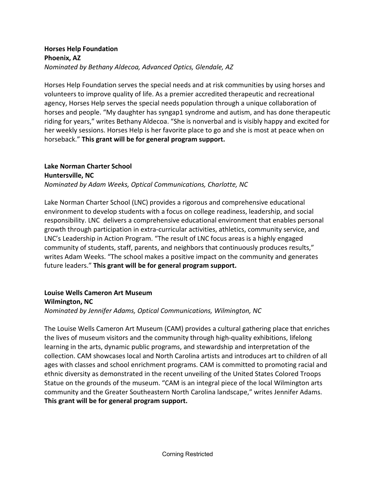### **Horses Help Foundation Phoenix, AZ** *Nominated by Bethany Aldecoa, Advanced Optics, Glendale, AZ*

Horses Help Foundation serves the special needs and at risk communities by using horses and volunteers to improve quality of life. As a premier accredited therapeutic and recreational agency, Horses Help serves the special needs population through a unique collaboration of horses and people. "My daughter has syngap1 syndrome and autism, and has done therapeutic riding for years," writes Bethany Aldecoa. "She is nonverbal and is visibly happy and excited for her weekly sessions. Horses Help is her favorite place to go and she is most at peace when on horseback." **This grant will be for general program support.**

### **Lake Norman Charter School Huntersville, NC** *Nominated by Adam Weeks, Optical Communications, Charlotte, NC*

Lake Norman Charter School (LNC) provides a rigorous and comprehensive educational environment to develop students with a focus on college readiness, leadership, and social responsibility. LNC delivers a comprehensive educational environment that enables personal growth through participation in extra-curricular activities, athletics, community service, and LNC's Leadership in Action Program. "The result of LNC focus areas is a highly engaged community of students, staff, parents, and neighbors that continuously produces results," writes Adam Weeks. "The school makes a positive impact on the community and generates future leaders." **This grant will be for general program support.**

# **Louise Wells Cameron Art Museum Wilmington, NC**

*Nominated by Jennifer Adams, Optical Communications, Wilmington, NC*

The Louise Wells Cameron Art Museum (CAM) provides a cultural gathering place that enriches the lives of museum visitors and the community through high-quality exhibitions, lifelong learning in the arts, dynamic public programs, and stewardship and interpretation of the collection. CAM showcases local and North Carolina artists and introduces art to children of all ages with classes and school enrichment programs. CAM is committed to promoting racial and ethnic diversity as demonstrated in the recent unveiling of the United States Colored Troops Statue on the grounds of the museum. "CAM is an integral piece of the local Wilmington arts community and the Greater Southeastern North Carolina landscape," writes Jennifer Adams. **This grant will be for general program support.**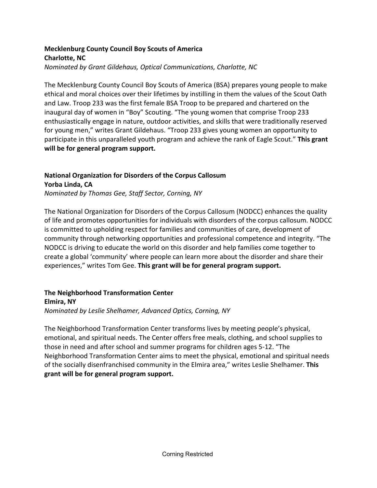# **Mecklenburg County Council Boy Scouts of America Charlotte, NC**

*Nominated by Grant Gildehaus, Optical Communications, Charlotte, NC*

The Mecklenburg County Council Boy Scouts of America (BSA) prepares young people to make ethical and moral choices over their lifetimes by instilling in them the values of the Scout Oath and Law. Troop 233 was the first female BSA Troop to be prepared and chartered on the inaugural day of women in "Boy" Scouting. "The young women that comprise Troop 233 enthusiastically engage in nature, outdoor activities, and skills that were traditionally reserved for young men," writes Grant Gildehaus. "Troop 233 gives young women an opportunity to participate in this unparalleled youth program and achieve the rank of Eagle Scout." **This grant will be for general program support.**

# **National Organization for Disorders of the Corpus Callosum Yorba Linda, CA**

*Nominated by Thomas Gee, Staff Sector, Corning, NY*

The National Organization for Disorders of the Corpus Callosum (NODCC) enhances the quality of life and promotes opportunities for individuals with disorders of the corpus callosum. NODCC is committed to upholding respect for families and communities of care, development of community through networking opportunities and professional competence and integrity. "The NODCC is driving to educate the world on this disorder and help families come together to create a global 'community' where people can learn more about the disorder and share their experiences," writes Tom Gee. **This grant will be for general program support.**

# **The Neighborhood Transformation Center Elmira, NY**

*Nominated by Leslie Shelhamer, Advanced Optics, Corning, NY*

The Neighborhood Transformation Center transforms lives by meeting people's physical, emotional, and spiritual needs. The Center offers free meals, clothing, and school supplies to those in need and after school and summer programs for children ages 5-12. "The Neighborhood Transformation Center aims to meet the physical, emotional and spiritual needs of the socially disenfranchised community in the Elmira area," writes Leslie Shelhamer. **This grant will be for general program support.**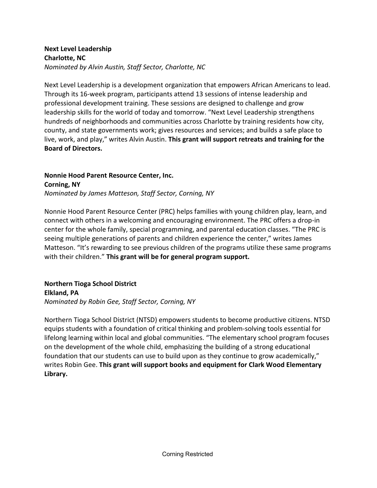### **Next Level Leadership Charlotte, NC** *Nominated by Alvin Austin, Staff Sector, Charlotte, NC*

Next Level Leadership is a development organization that empowers African Americans to lead. Through its 16-week program, participants attend 13 sessions of intense leadership and professional development training. These sessions are designed to challenge and grow leadership skills for the world of today and tomorrow. "Next Level Leadership strengthens hundreds of neighborhoods and communities across Charlotte by training residents how city, county, and state governments work; gives resources and services; and builds a safe place to live, work, and play," writes Alvin Austin. **This grant will support retreats and training for the Board of Directors.** 

**Nonnie Hood Parent Resource Center, Inc. Corning, NY** *Nominated by James Matteson, Staff Sector, Corning, NY*

Nonnie Hood Parent Resource Center (PRC) helps families with young children play, learn, and connect with others in a welcoming and encouraging environment. The PRC offers a drop-in center for the whole family, special programming, and parental education classes. "The PRC is seeing multiple generations of parents and children experience the center," writes James Matteson. "It's rewarding to see previous children of the programs utilize these same programs with their children." **This grant will be for general program support.**

### **Northern Tioga School District Elkland, PA** *Nominated by Robin Gee, Staff Sector, Corning, NY*

Northern Tioga School District (NTSD) empowers students to become productive citizens. NTSD equips students with a foundation of critical thinking and problem-solving tools essential for lifelong learning within local and global communities. "The elementary school program focuses on the development of the whole child, emphasizing the building of a strong educational foundation that our students can use to build upon as they continue to grow academically," writes Robin Gee. **This grant will support books and equipment for Clark Wood Elementary Library.**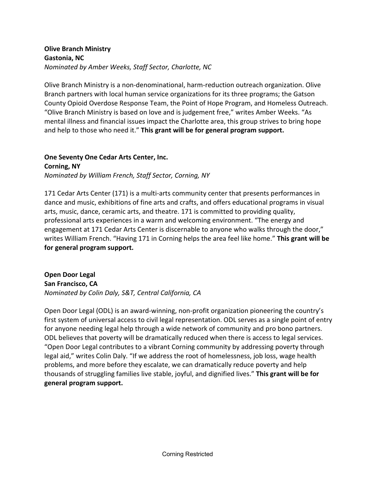### **Olive Branch Ministry Gastonia, NC** *Nominated by Amber Weeks, Staff Sector, Charlotte, NC*

Olive Branch Ministry is a non-denominational, harm-reduction outreach organization. Olive Branch partners with local human service organizations for its three programs; the Gatson County Opioid Overdose Response Team, the Point of Hope Program, and Homeless Outreach. "Olive Branch Ministry is based on love and is judgement free," writes Amber Weeks. "As mental illness and financial issues impact the Charlotte area, this group strives to bring hope and help to those who need it." **This grant will be for general program support.**

#### **One Seventy One Cedar Arts Center, Inc. Corning, NY**

*Nominated by William French, Staff Sector, Corning, NY*

171 Cedar Arts Center (171) is a multi-arts community center that presents performances in dance and music, exhibitions of fine arts and crafts, and offers educational programs in visual arts, music, dance, ceramic arts, and theatre. 171 is committed to providing quality, professional arts experiences in a warm and welcoming environment. "The energy and engagement at 171 Cedar Arts Center is discernable to anyone who walks through the door," writes William French. "Having 171 in Corning helps the area feel like home." **This grant will be for general program support.**

## **Open Door Legal San Francisco, CA** *Nominated by Colin Daly, S&T, Central California, CA*

Open Door Legal (ODL) is an award-winning, non-profit organization pioneering the country's first system of universal access to civil legal representation. ODL serves as a single point of entry for anyone needing legal help through a wide network of community and pro bono partners. ODL believes that poverty will be dramatically reduced when there is access to legal services. "Open Door Legal contributes to a vibrant Corning community by addressing poverty through legal aid," writes Colin Daly. "If we address the root of homelessness, job loss, wage health problems, and more before they escalate, we can dramatically reduce poverty and help thousands of struggling families live stable, joyful, and dignified lives." **This grant will be for general program support.**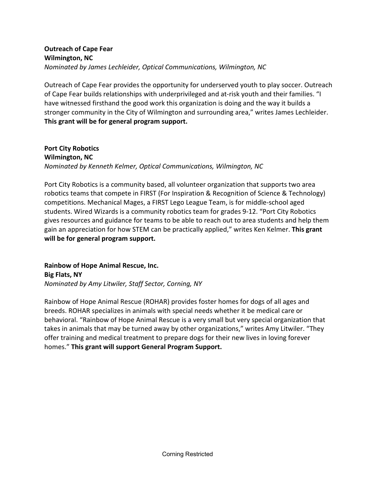### **Outreach of Cape Fear Wilmington, NC** *Nominated by James Lechleider, Optical Communications, Wilmington, NC*

Outreach of Cape Fear provides the opportunity for underserved youth to play soccer. Outreach of Cape Fear builds relationships with underprivileged and at-risk youth and their families. "I have witnessed firsthand the good work this organization is doing and the way it builds a stronger community in the City of Wilmington and surrounding area," writes James Lechleider. **This grant will be for general program support.**

**Port City Robotics Wilmington, NC** *Nominated by Kenneth Kelmer, Optical Communications, Wilmington, NC*

Port City Robotics is a community based, all volunteer organization that supports two area robotics teams that compete in FIRST (For Inspiration & Recognition of Science & Technology) competitions. Mechanical Mages, a FIRST Lego League Team, is for middle-school aged students. Wired Wizards is a community robotics team for grades 9-12. "Port City Robotics gives resources and guidance for teams to be able to reach out to area students and help them gain an appreciation for how STEM can be practically applied," writes Ken Kelmer. **This grant will be for general program support.**

**Rainbow of Hope Animal Rescue, Inc. Big Flats, NY** *Nominated by Amy Litwiler, Staff Sector, Corning, NY*

Rainbow of Hope Animal Rescue (ROHAR) provides foster homes for dogs of all ages and breeds. ROHAR specializes in animals with special needs whether it be medical care or behavioral. "Rainbow of Hope Animal Rescue is a very small but very special organization that takes in animals that may be turned away by other organizations," writes Amy Litwiler. "They offer training and medical treatment to prepare dogs for their new lives in loving forever homes." **This grant will support General Program Support.**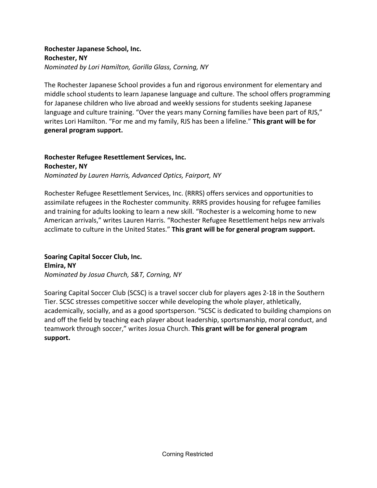### **Rochester Japanese School, Inc. Rochester, NY** *Nominated by Lori Hamilton, Gorilla Glass, Corning, NY*

The Rochester Japanese School provides a fun and rigorous environment for elementary and middle school students to learn Japanese language and culture. The school offers programming for Japanese children who live abroad and weekly sessions for students seeking Japanese language and culture training. "Over the years many Corning families have been part of RJS," writes Lori Hamilton. "For me and my family, RJS has been a lifeline." **This grant will be for general program support.**

### **Rochester Refugee Resettlement Services, Inc. Rochester, NY**

*Nominated by Lauren Harris, Advanced Optics, Fairport, NY*

Rochester Refugee Resettlement Services, Inc. (RRRS) offers services and opportunities to assimilate refugees in the Rochester community. RRRS provides housing for refugee families and training for adults looking to learn a new skill. "Rochester is a welcoming home to new American arrivals," writes Lauren Harris. "Rochester Refugee Resettlement helps new arrivals acclimate to culture in the United States." **This grant will be for general program support.**

**Soaring Capital Soccer Club, Inc. Elmira, NY** *Nominated by Josua Church, S&T, Corning, NY*

Soaring Capital Soccer Club (SCSC) is a travel soccer club for players ages 2-18 in the Southern Tier. SCSC stresses competitive soccer while developing the whole player, athletically, academically, socially, and as a good sportsperson. "SCSC is dedicated to building champions on and off the field by teaching each player about leadership, sportsmanship, moral conduct, and teamwork through soccer," writes Josua Church. **This grant will be for general program support.**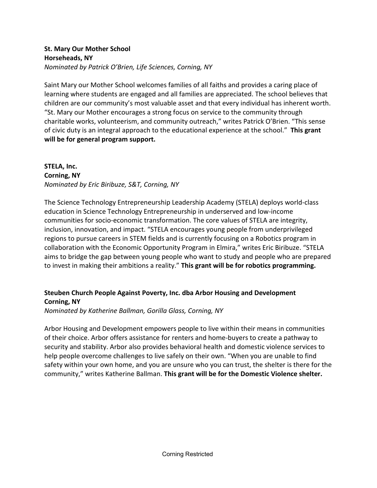### **St. Mary Our Mother School Horseheads, NY** *Nominated by Patrick O'Brien, Life Sciences, Corning, NY*

Saint Mary our Mother School welcomes families of all faiths and provides a caring place of learning where students are engaged and all families are appreciated. The school believes that children are our community's most valuable asset and that every individual has inherent worth. "St. Mary our Mother encourages a strong focus on service to the community through charitable works, volunteerism, and community outreach," writes Patrick O'Brien. "This sense of civic duty is an integral approach to the educational experience at the school." **This grant will be for general program support.**

# **STELA, Inc. Corning, NY** *Nominated by Eric Biribuze, S&T, Corning, NY*

The Science Technology Entrepreneurship Leadership Academy (STELA) deploys world-class education in Science Technology Entrepreneurship in underserved and low-income communities for socio-economic transformation. The core values of STELA are integrity, inclusion, innovation, and impact. "STELA encourages young people from underprivileged regions to pursue careers in STEM fields and is currently focusing on a Robotics program in collaboration with the Economic Opportunity Program in Elmira," writes Eric Biribuze. "STELA aims to bridge the gap between young people who want to study and people who are prepared to invest in making their ambitions a reality." **This grant will be for robotics programming.**

# **Steuben Church People Against Poverty, Inc. dba Arbor Housing and Development Corning, NY**

*Nominated by Katherine Ballman, Gorilla Glass, Corning, NY*

Arbor Housing and Development empowers people to live within their means in communities of their choice. Arbor offers assistance for renters and home-buyers to create a pathway to security and stability. Arbor also provides behavioral health and domestic violence services to help people overcome challenges to live safely on their own. "When you are unable to find safety within your own home, and you are unsure who you can trust, the shelter is there for the community," writes Katherine Ballman. **This grant will be for the Domestic Violence shelter.**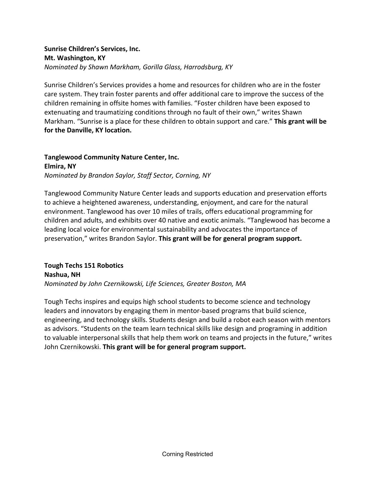### **Sunrise Children's Services, Inc. Mt. Washington, KY** *Nominated by Shawn Markham, Gorilla Glass, Harrodsburg, KY*

Sunrise Children's Services provides a home and resources for children who are in the foster care system. They train foster parents and offer additional care to improve the success of the children remaining in offsite homes with families. "Foster children have been exposed to extenuating and traumatizing conditions through no fault of their own," writes Shawn Markham. "Sunrise is a place for these children to obtain support and care." **This grant will be for the Danville, KY location.**

#### **Tanglewood Community Nature Center, Inc. Elmira, NY**

*Nominated by Brandon Saylor, Staff Sector, Corning, NY*

Tanglewood Community Nature Center leads and supports education and preservation efforts to achieve a heightened awareness, understanding, enjoyment, and care for the natural environment. Tanglewood has over 10 miles of trails, offers educational programming for children and adults, and exhibits over 40 native and exotic animals. "Tanglewood has become a leading local voice for environmental sustainability and advocates the importance of preservation," writes Brandon Saylor. **This grant will be for general program support.**

**Tough Techs 151 Robotics Nashua, NH** *Nominated by John Czernikowski, Life Sciences, Greater Boston, MA*

Tough Techs inspires and equips high school students to become science and technology leaders and innovators by engaging them in mentor-based programs that build science, engineering, and technology skills. Students design and build a robot each season with mentors as advisors. "Students on the team learn technical skills like design and programing in addition to valuable interpersonal skills that help them work on teams and projects in the future," writes John Czernikowski. **This grant will be for general program support.**